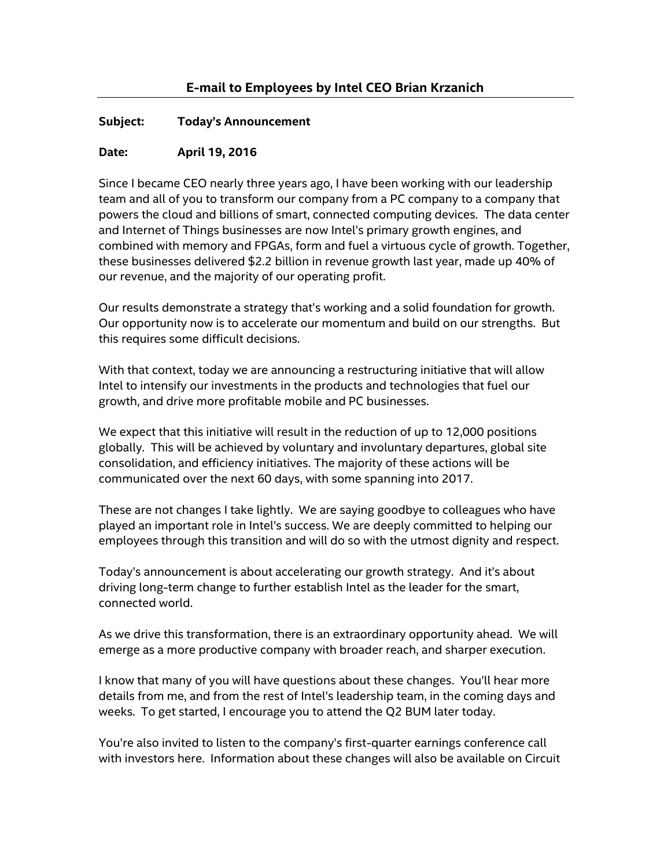## **E-mail to Employees by Intel CEO Brian Krzanich**

## **Subject: Today's Announcement**

## **Date: April 19, 2016**

Since I became CEO nearly three years ago, I have been working with our leadership team and all of you to transform our company from a PC company to a company that powers the cloud and billions of smart, connected computing devices. The data center and Internet of Things businesses are now Intel's primary growth engines, and combined with memory and FPGAs, form and fuel a virtuous cycle of growth. Together, these businesses delivered \$2.2 billion in revenue growth last year, made up 40% of our revenue, and the majority of our operating profit.

Our results demonstrate a strategy that's working and a solid foundation for growth. Our opportunity now is to accelerate our momentum and build on our strengths. But this requires some difficult decisions.

With that context, today we are announcing a restructuring initiative that will allow Intel to intensify our investments in the products and technologies that fuel our growth, and drive more profitable mobile and PC businesses.

We expect that this initiative will result in the reduction of up to 12,000 positions globally. This will be achieved by voluntary and involuntary departures, global site consolidation, and efficiency initiatives. The majority of these actions will be communicated over the next 60 days, with some spanning into 2017.

These are not changes I take lightly. We are saying goodbye to colleagues who have played an important role in Intel's success. We are deeply committed to helping our employees through this transition and will do so with the utmost dignity and respect.

Today's announcement is about accelerating our growth strategy. And it's about driving long-term change to further establish Intel as the leader for the smart, connected world.

As we drive this transformation, there is an extraordinary opportunity ahead. We will emerge as a more productive company with broader reach, and sharper execution.

I know that many of you will have questions about these changes. You'll hear more details from me, and from the rest of Intel's leadership team, in the coming days and weeks. To get started, I encourage you to attend the Q2 BUM later today.

You're also invited to listen to the company's first-quarter earnings conference call with investors here. Information about these changes will also be available on Circuit